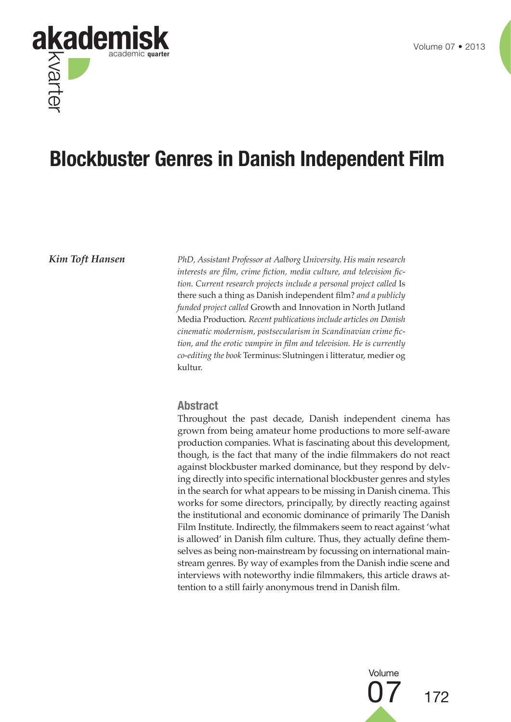

# **Blockbuster Genres in Danish Independent Film**

*Kim Toft Hansen PhD, Assistant Professor at Aalborg University. His main research interests are film, crime fiction, media culture, and television fiction. Current research projects include a personal project called* Is there such a thing as Danish independent film? *and a publicly funded project called* Growth and Innovation in North Jutland Media Production*. Recent publications include articles on Danish cinematic modernism, postsecularism in Scandinavian crime fiction, and the erotic vampire in film and television. He is currently co-editing the book* Terminus: Slutningen i litteratur, medier og kultur.

#### **Abstract**

Throughout the past decade, Danish independent cinema has grown from being amateur home productions to more self-aware production companies. What is fascinating about this development, though, is the fact that many of the indie filmmakers do not react against blockbuster marked dominance, but they respond by delving directly into specific international blockbuster genres and styles in the search for what appears to be missing in Danish cinema. This works for some directors, principally, by directly reacting against the institutional and economic dominance of primarily The Danish Film Institute. Indirectly, the filmmakers seem to react against 'what is allowed' in Danish film culture. Thus, they actually define themselves as being non-mainstream by focussing on international mainstream genres. By way of examples from the Danish indie scene and interviews with noteworthy indie filmmakers, this article draws attention to a still fairly anonymous trend in Danish film.

> 172 Volume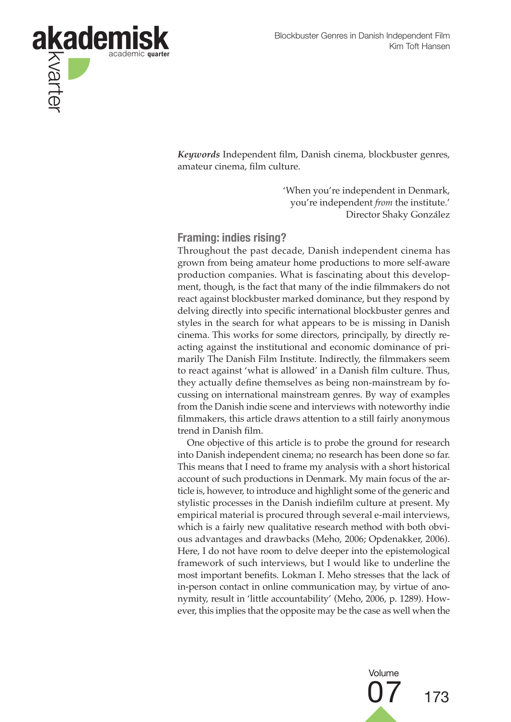

*Keywords* Independent film, Danish cinema, blockbuster genres, amateur cinema, film culture.

> 'When you're independent in Denmark, you're independent *from* the institute.' Director Shaky González

### **Framing: indies rising?**

Throughout the past decade, Danish independent cinema has grown from being amateur home productions to more self-aware production companies. What is fascinating about this development, though, is the fact that many of the indie filmmakers do not react against blockbuster marked dominance, but they respond by delving directly into specific international blockbuster genres and styles in the search for what appears to be is missing in Danish cinema. This works for some directors, principally, by directly reacting against the institutional and economic dominance of primarily The Danish Film Institute. Indirectly, the filmmakers seem to react against 'what is allowed' in a Danish film culture. Thus, they actually define themselves as being non-mainstream by focussing on international mainstream genres. By way of examples from the Danish indie scene and interviews with noteworthy indie filmmakers, this article draws attention to a still fairly anonymous trend in Danish film.

One objective of this article is to probe the ground for research into Danish independent cinema; no research has been done so far. This means that I need to frame my analysis with a short historical account of such productions in Denmark. My main focus of the article is, however, to introduce and highlight some of the generic and stylistic processes in the Danish indiefilm culture at present. My empirical material is procured through several e-mail interviews, which is a fairly new qualitative research method with both obvious advantages and drawbacks (Meho, 2006; Opdenakker, 2006). Here, I do not have room to delve deeper into the epistemological framework of such interviews, but I would like to underline the most important benefits. Lokman I. Meho stresses that the lack of in-person contact in online communication may, by virtue of anonymity, result in 'little accountability' (Meho, 2006, p. 1289). However, this implies that the opposite may be the case as well when the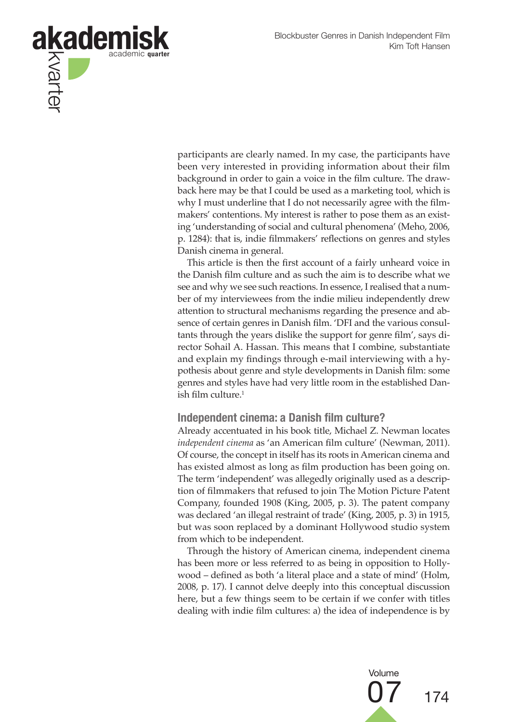

participants are clearly named. In my case, the participants have been very interested in providing information about their film background in order to gain a voice in the film culture. The drawback here may be that I could be used as a marketing tool, which is why I must underline that I do not necessarily agree with the filmmakers' contentions. My interest is rather to pose them as an existing 'understanding of social and cultural phenomena' (Meho, 2006, p. 1284): that is, indie filmmakers' reflections on genres and styles Danish cinema in general.

This article is then the first account of a fairly unheard voice in the Danish film culture and as such the aim is to describe what we see and why we see such reactions. In essence, I realised that a number of my interviewees from the indie milieu independently drew attention to structural mechanisms regarding the presence and absence of certain genres in Danish film. 'DFI and the various consultants through the years dislike the support for genre film', says director Sohail A. Hassan. This means that I combine, substantiate and explain my findings through e-mail interviewing with a hypothesis about genre and style developments in Danish film: some genres and styles have had very little room in the established Danish film culture. $1$ 

#### **Independent cinema: a Danish film culture?**

Already accentuated in his book title, Michael Z. Newman locates *independent cinema* as 'an American film culture' (Newman, 2011). Of course, the concept in itself has its roots in American cinema and has existed almost as long as film production has been going on. The term 'independent' was allegedly originally used as a description of filmmakers that refused to join The Motion Picture Patent Company, founded 1908 (King, 2005, p. 3). The patent company was declared 'an illegal restraint of trade' (King, 2005, p. 3) in 1915, but was soon replaced by a dominant Hollywood studio system from which to be independent.

Through the history of American cinema, independent cinema has been more or less referred to as being in opposition to Hollywood – defined as both 'a literal place and a state of mind' (Holm, 2008, p. 17). I cannot delve deeply into this conceptual discussion here, but a few things seem to be certain if we confer with titles dealing with indie film cultures: a) the idea of independence is by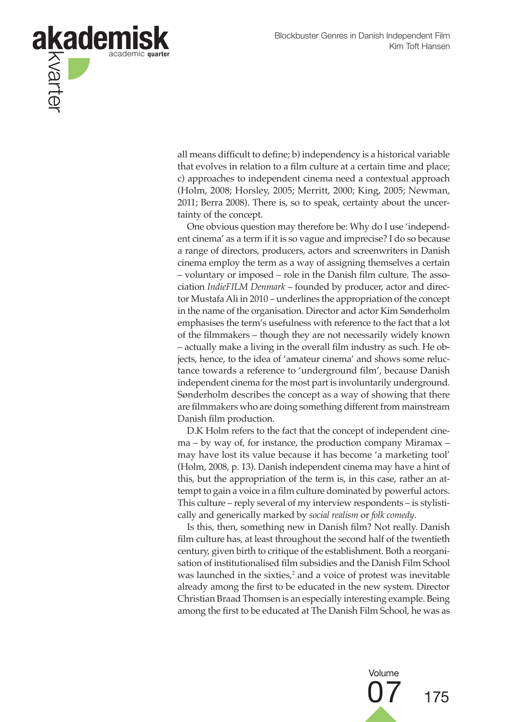

all means difficult to define; b) independency is a historical variable that evolves in relation to a film culture at a certain time and place; c) approaches to independent cinema need a contextual approach (Holm, 2008; Horsley, 2005; Merritt, 2000; King, 2005; Newman, 2011; Berra 2008). There is, so to speak, certainty about the uncertainty of the concept.

One obvious question may therefore be: Why do I use 'independent cinema' as a term if it is so vague and imprecise? I do so because a range of directors, producers, actors and screenwriters in Danish cinema employ the term as a way of assigning themselves a certain – voluntary or imposed – role in the Danish film culture. The association *IndieFILM Denmark* – founded by producer, actor and director Mustafa Ali in 2010 – underlines the appropriation of the concept in the name of the organisation. Director and actor Kim Sønderholm emphasises the term's usefulness with reference to the fact that a lot of the filmmakers – though they are not necessarily widely known – actually make a living in the overall film industry as such. He objects, hence, to the idea of 'amateur cinema' and shows some reluctance towards a reference to 'underground film', because Danish independent cinema for the most part is involuntarily underground. Sønderholm describes the concept as a way of showing that there are filmmakers who are doing something different from mainstream Danish film production.

D.K Holm refers to the fact that the concept of independent cinema – by way of, for instance, the production company Miramax – may have lost its value because it has become 'a marketing tool' (Holm, 2008, p. 13). Danish independent cinema may have a hint of this, but the appropriation of the term is, in this case, rather an attempt to gain a voice in a film culture dominated by powerful actors. This culture – reply several of my interview respondents – is stylistically and generically marked by *social realism* or *folk comedy*.

Is this, then, something new in Danish film? Not really. Danish film culture has, at least throughout the second half of the twentieth century, given birth to critique of the establishment. Both a reorganisation of institutionalised film subsidies and the Danish Film School was launched in the sixties, $2$  and a voice of protest was inevitable already among the first to be educated in the new system. Director Christian Braad Thomsen is an especially interesting example. Being among the first to be educated at The Danish Film School, he was as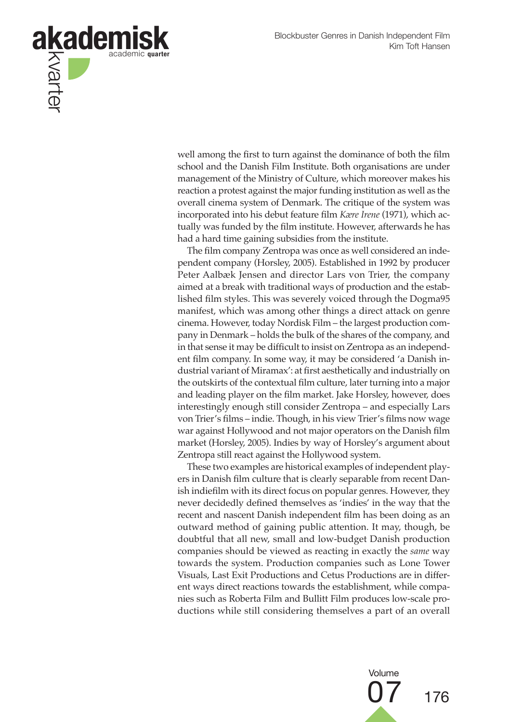

well among the first to turn against the dominance of both the film school and the Danish Film Institute. Both organisations are under management of the Ministry of Culture, which moreover makes his reaction a protest against the major funding institution as well as the overall cinema system of Denmark. The critique of the system was incorporated into his debut feature film *Kære Irene* (1971), which actually was funded by the film institute. However, afterwards he has had a hard time gaining subsidies from the institute.

The film company Zentropa was once as well considered an independent company (Horsley, 2005). Established in 1992 by producer Peter Aalbæk Jensen and director Lars von Trier, the company aimed at a break with traditional ways of production and the established film styles. This was severely voiced through the Dogma95 manifest, which was among other things a direct attack on genre cinema. However, today Nordisk Film – the largest production company in Denmark – holds the bulk of the shares of the company, and in that sense it may be difficult to insist on Zentropa as an independent film company. In some way, it may be considered 'a Danish industrial variant of Miramax': at first aesthetically and industrially on the outskirts of the contextual film culture, later turning into a major and leading player on the film market. Jake Horsley, however, does interestingly enough still consider Zentropa – and especially Lars von Trier's films – indie. Though, in his view Trier's films now wage war against Hollywood and not major operators on the Danish film market (Horsley, 2005). Indies by way of Horsley's argument about Zentropa still react against the Hollywood system.

These two examples are historical examples of independent players in Danish film culture that is clearly separable from recent Danish indiefilm with its direct focus on popular genres. However, they never decidedly defined themselves as 'indies' in the way that the recent and nascent Danish independent film has been doing as an outward method of gaining public attention. It may, though, be doubtful that all new, small and low-budget Danish production companies should be viewed as reacting in exactly the *same* way towards the system. Production companies such as Lone Tower Visuals, Last Exit Productions and Cetus Productions are in different ways direct reactions towards the establishment, while companies such as Roberta Film and Bullitt Film produces low-scale productions while still considering themselves a part of an overall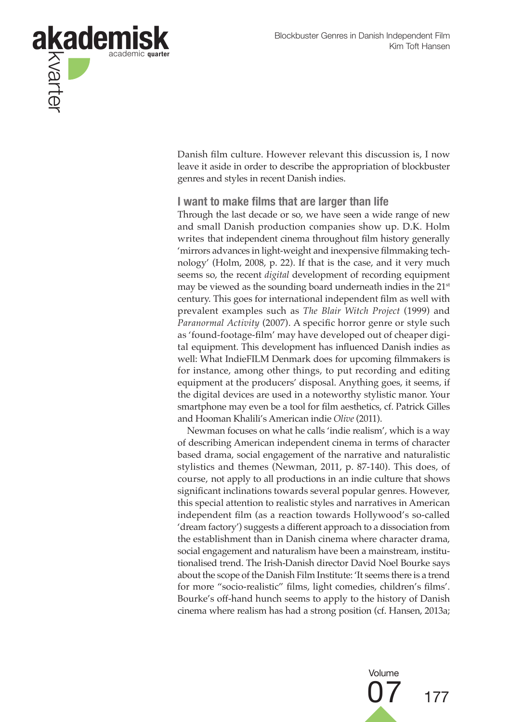

Danish film culture. However relevant this discussion is, I now leave it aside in order to describe the appropriation of blockbuster genres and styles in recent Danish indies.

**I want to make films that are larger than life**

Through the last decade or so, we have seen a wide range of new and small Danish production companies show up. D.K. Holm writes that independent cinema throughout film history generally 'mirrors advances in light-weight and inexpensive filmmaking technology' (Holm, 2008, p. 22). If that is the case, and it very much seems so, the recent *digital* development of recording equipment may be viewed as the sounding board underneath indies in the 21<sup>st</sup> century. This goes for international independent film as well with prevalent examples such as *The Blair Witch Project* (1999) and *Paranormal Activity* (2007). A specific horror genre or style such as 'found-footage-film' may have developed out of cheaper digital equipment. This development has influenced Danish indies as well: What IndieFILM Denmark does for upcoming filmmakers is for instance, among other things, to put recording and editing equipment at the producers' disposal. Anything goes, it seems, if the digital devices are used in a noteworthy stylistic manor. Your smartphone may even be a tool for film aesthetics, cf. Patrick Gilles and Hooman Khalili's American indie *Olive* (2011).

Newman focuses on what he calls 'indie realism', which is a way of describing American independent cinema in terms of character based drama, social engagement of the narrative and naturalistic stylistics and themes (Newman, 2011, p. 87-140). This does, of course, not apply to all productions in an indie culture that shows significant inclinations towards several popular genres. However, this special attention to realistic styles and narratives in American independent film (as a reaction towards Hollywood's so-called 'dream factory') suggests a different approach to a dissociation from the establishment than in Danish cinema where character drama, social engagement and naturalism have been a mainstream, institutionalised trend. The Irish-Danish director David Noel Bourke says about the scope of the Danish Film Institute: 'It seems there is a trend for more "socio-realistic" films, light comedies, children's films'. Bourke's off-hand hunch seems to apply to the history of Danish cinema where realism has had a strong position (cf. Hansen, 2013a;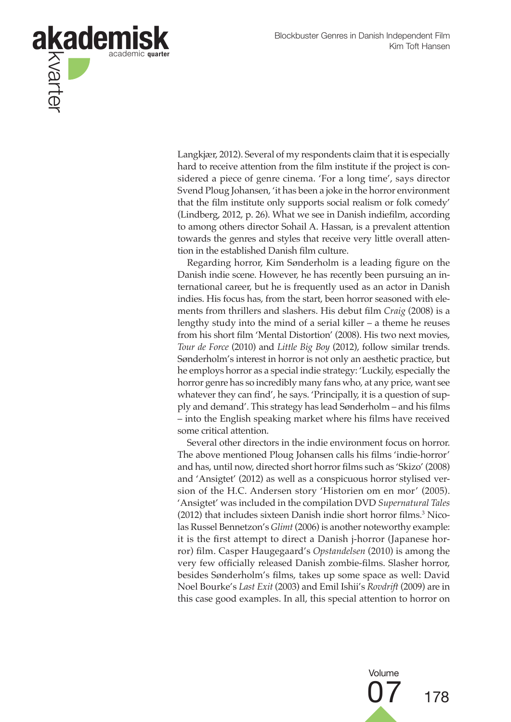

Langkjær, 2012). Several of my respondents claim that it is especially hard to receive attention from the film institute if the project is considered a piece of genre cinema. 'For a long time', says director Svend Ploug Johansen, 'it has been a joke in the horror environment that the film institute only supports social realism or folk comedy' (Lindberg, 2012, p. 26). What we see in Danish indiefilm, according to among others director Sohail A. Hassan, is a prevalent attention towards the genres and styles that receive very little overall attention in the established Danish film culture.

Regarding horror, Kim Sønderholm is a leading figure on the Danish indie scene. However, he has recently been pursuing an international career, but he is frequently used as an actor in Danish indies. His focus has, from the start, been horror seasoned with elements from thrillers and slashers. His debut film *Craig* (2008) is a lengthy study into the mind of a serial killer – a theme he reuses from his short film 'Mental Distortion' (2008). His two next movies, *Tour de Force* (2010) and *Little Big Boy* (2012), follow similar trends. Sønderholm's interest in horror is not only an aesthetic practice, but he employs horror as a special indie strategy: 'Luckily, especially the horror genre has so incredibly many fans who, at any price, want see whatever they can find', he says. 'Principally, it is a question of supply and demand'. This strategy has lead Sønderholm – and his films – into the English speaking market where his films have received some critical attention.

Several other directors in the indie environment focus on horror. The above mentioned Ploug Johansen calls his films 'indie-horror' and has, until now, directed short horror films such as 'Skizo' (2008) and 'Ansigtet' (2012) as well as a conspicuous horror stylised version of the H.C. Andersen story 'Historien om en mor' (2005). 'Ansigtet' was included in the compilation DVD *Supernatural Tales*  (2012) that includes sixteen Danish indie short horror films.<sup>3</sup> Nicolas Russel Bennetzon's *Glimt* (2006) is another noteworthy example: it is the first attempt to direct a Danish j-horror (Japanese horror) film. Casper Haugegaard's *Opstandelsen* (2010) is among the very few officially released Danish zombie-films. Slasher horror, besides Sønderholm's films, takes up some space as well: David Noel Bourke's *Last Exit* (2003) and Emil Ishii's *Rovdrift* (2009) are in this case good examples. In all, this special attention to horror on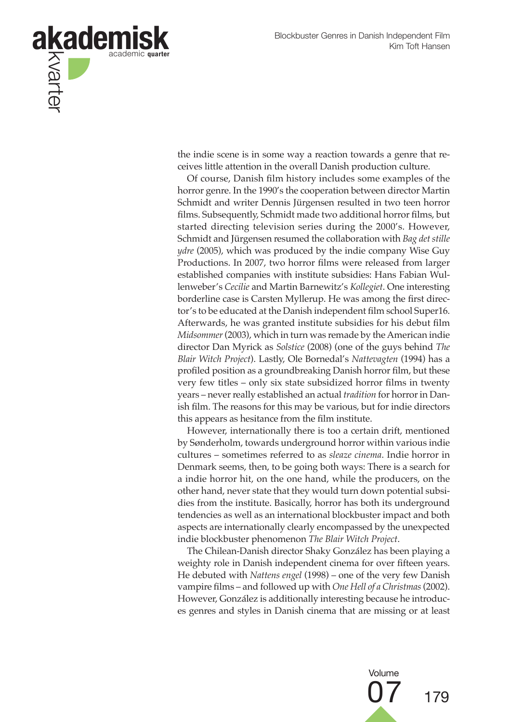

the indie scene is in some way a reaction towards a genre that receives little attention in the overall Danish production culture.

Of course, Danish film history includes some examples of the horror genre. In the 1990's the cooperation between director Martin Schmidt and writer Dennis Jürgensen resulted in two teen horror films. Subsequently, Schmidt made two additional horror films, but started directing television series during the 2000's. However, Schmidt and Jürgensen resumed the collaboration with *Bag det stille ydre* (2005), which was produced by the indie company Wise Guy Productions. In 2007, two horror films were released from larger established companies with institute subsidies: Hans Fabian Wullenweber's *Cecilie* and Martin Barnewitz's *Kollegiet*. One interesting borderline case is Carsten Myllerup. He was among the first director's to be educated at the Danish independent film school Super16. Afterwards, he was granted institute subsidies for his debut film *Midsommer* (2003), which in turn was remade by the American indie director Dan Myrick as *Solstice* (2008) (one of the guys behind *The Blair Witch Project*). Lastly, Ole Bornedal's *Nattevagten* (1994) has a profiled position as a groundbreaking Danish horror film, but these very few titles – only six state subsidized horror films in twenty years – never really established an actual *tradition* for horror in Danish film. The reasons for this may be various, but for indie directors this appears as hesitance from the film institute.

However, internationally there is too a certain drift, mentioned by Sønderholm, towards underground horror within various indie cultures – sometimes referred to as *sleaze cinema*. Indie horror in Denmark seems, then, to be going both ways: There is a search for a indie horror hit, on the one hand, while the producers, on the other hand, never state that they would turn down potential subsidies from the institute. Basically, horror has both its underground tendencies as well as an international blockbuster impact and both aspects are internationally clearly encompassed by the unexpected indie blockbuster phenomenon *The Blair Witch Project*.

The Chilean-Danish director Shaky González has been playing a weighty role in Danish independent cinema for over fifteen years. He debuted with *Nattens engel* (1998) – one of the very few Danish vampire films – and followed up with *One Hell of a Christmas* (2002). However, González is additionally interesting because he introduces genres and styles in Danish cinema that are missing or at least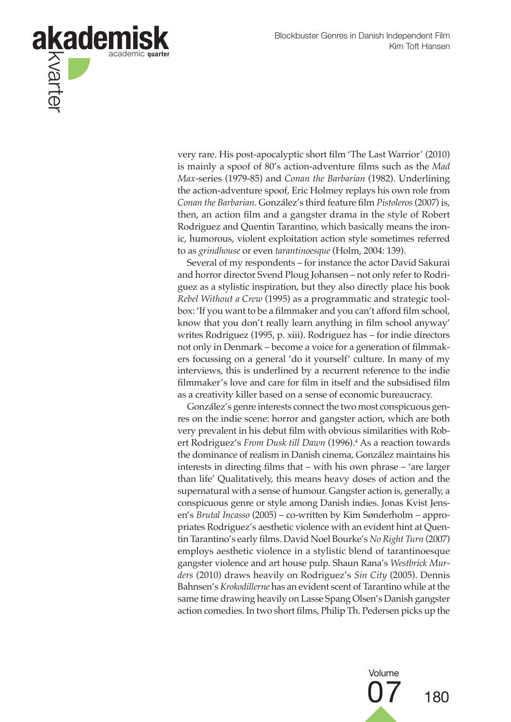

very rare. His post-apocalyptic short film 'The Last Warrior' (2010) is mainly a spoof of 80's action-adventure films such as the *Mad Max*-series (1979-85) and *Conan the Barbarian* (1982). Underlining the action-adventure spoof, Eric Holmey replays his own role from *Conan the Barbarian*. González's third feature film *Pistoleros* (2007) is, then, an action film and a gangster drama in the style of Robert Rodriguez and Quentin Tarantino, which basically means the ironic, humorous, violent exploitation action style sometimes referred to as *grindhouse* or even *tarantinoesque* (Holm, 2004: 139).

Several of my respondents – for instance the actor David Sakurai and horror director Svend Ploug Johansen – not only refer to Rodriguez as a stylistic inspiration, but they also directly place his book *Rebel Without a Crew* (1995) as a programmatic and strategic toolbox: 'If you want to be a filmmaker and you can't afford film school, know that you don't really learn anything in film school anyway' writes Rodriguez (1995, p. xiii). Rodriguez has – for indie directors not only in Denmark – become a voice for a generation of filmmakers focussing on a general 'do it yourself' culture. In many of my interviews, this is underlined by a recurrent reference to the indie filmmaker's love and care for film in itself and the subsidised film as a creativity killer based on a sense of economic bureaucracy.

González's genre interests connect the two most conspicuous genres on the indie scene: horror and gangster action, which are both very prevalent in his debut film with obvious similarities with Robert Rodriguez's *From Dusk till Dawn* (1996).4 As a reaction towards the dominance of realism in Danish cinema, González maintains his interests in directing films that – with his own phrase – 'are larger than life' Qualitatively, this means heavy doses of action and the supernatural with a sense of humour. Gangster action is, generally, a conspicuous genre or style among Danish indies. Jonas Kvist Jensen's *Brutal Incasso* (2005) – co-written by Kim Sønderholm – appropriates Rodriguez's aesthetic violence with an evident hint at Quentin Tarantino's early films. David Noel Bourke's *No Right Turn* (2007) employs aesthetic violence in a stylistic blend of tarantinoesque gangster violence and art house pulp. Shaun Rana's *Westbrick Murders* (2010) draws heavily on Rodriguez's *Sin City* (2005). Dennis Bahnsen's *Krokodillerne* has an evident scent of Tarantino while at the same time drawing heavily on Lasse Spang Olsen's Danish gangster action comedies. In two short films, Philip Th. Pedersen picks up the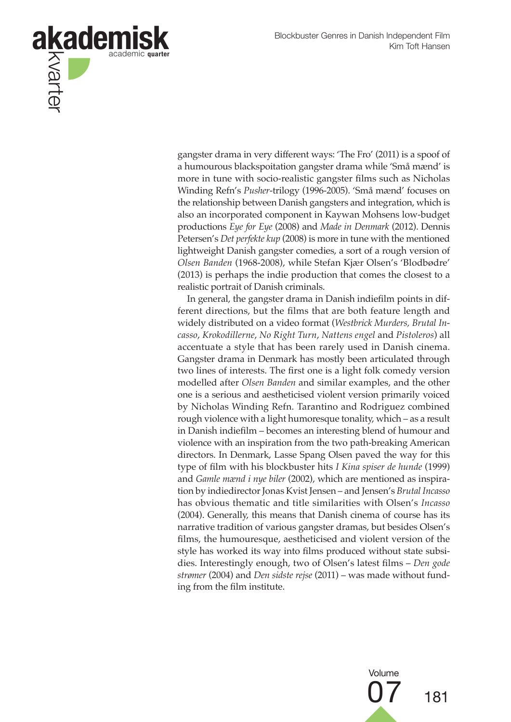

gangster drama in very different ways: 'The Fro' (2011) is a spoof of a humourous blackspoitation gangster drama while 'Små mænd' is more in tune with socio-realistic gangster films such as Nicholas Winding Refn's *Pusher*-trilogy (1996-2005). 'Små mænd' focuses on the relationship between Danish gangsters and integration, which is also an incorporated component in Kaywan Mohsens low-budget productions *Eye for Eye* (2008) and *Made in Denmark* (2012). Dennis Petersen's *Det perfekte kup* (2008) is more in tune with the mentioned lightweight Danish gangster comedies, a sort of a rough version of *Olsen Banden* (1968-2008), while Stefan Kjær Olsen's 'Blodbødre' (2013) is perhaps the indie production that comes the closest to a realistic portrait of Danish criminals.

In general, the gangster drama in Danish indiefilm points in different directions, but the films that are both feature length and widely distributed on a video format (*Westbrick Murders, Brutal Incasso*, *Krokodillerne*, *No Right Turn*, *Nattens engel* and *Pistoleros*) all accentuate a style that has been rarely used in Danish cinema. Gangster drama in Denmark has mostly been articulated through two lines of interests. The first one is a light folk comedy version modelled after *Olsen Banden* and similar examples, and the other one is a serious and aestheticised violent version primarily voiced by Nicholas Winding Refn. Tarantino and Rodriguez combined rough violence with a light humoresque tonality, which – as a result in Danish indiefilm – becomes an interesting blend of humour and violence with an inspiration from the two path-breaking American directors. In Denmark, Lasse Spang Olsen paved the way for this type of film with his blockbuster hits *I Kina spiser de hunde* (1999) and *Gamle mænd i nye biler* (2002), which are mentioned as inspiration by indiedirector Jonas Kvist Jensen – and Jensen's *Brutal Incasso*  has obvious thematic and title similarities with Olsen's *Incasso* (2004). Generally, this means that Danish cinema of course has its narrative tradition of various gangster dramas, but besides Olsen's films, the humouresque, aestheticised and violent version of the style has worked its way into films produced without state subsidies. Interestingly enough, two of Olsen's latest films – *Den gode strømer* (2004) and *Den sidste rejse* (2011) – was made without funding from the film institute.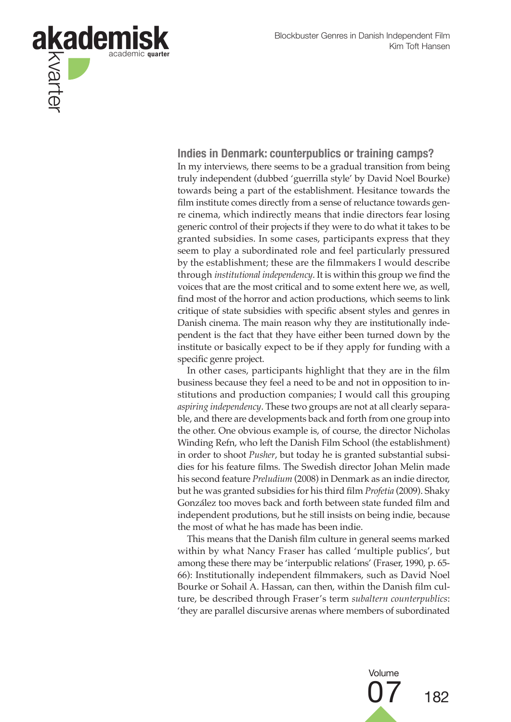

**Indies in Denmark: counterpublics or training camps?** In my interviews, there seems to be a gradual transition from being truly independent (dubbed 'guerrilla style' by David Noel Bourke) towards being a part of the establishment. Hesitance towards the film institute comes directly from a sense of reluctance towards genre cinema, which indirectly means that indie directors fear losing generic control of their projects if they were to do what it takes to be granted subsidies. In some cases, participants express that they seem to play a subordinated role and feel particularly pressured by the establishment; these are the filmmakers I would describe through *institutional independency*. It is within this group we find the voices that are the most critical and to some extent here we, as well, find most of the horror and action productions, which seems to link critique of state subsidies with specific absent styles and genres in Danish cinema. The main reason why they are institutionally independent is the fact that they have either been turned down by the institute or basically expect to be if they apply for funding with a specific genre project.

In other cases, participants highlight that they are in the film business because they feel a need to be and not in opposition to institutions and production companies; I would call this grouping *aspiring independency*. These two groups are not at all clearly separable, and there are developments back and forth from one group into the other. One obvious example is, of course, the director Nicholas Winding Refn, who left the Danish Film School (the establishment) in order to shoot *Pusher*, but today he is granted substantial subsidies for his feature films. The Swedish director Johan Melin made his second feature *Preludium* (2008) in Denmark as an indie director, but he was granted subsidies for his third film *Profetia* (2009). Shaky González too moves back and forth between state funded film and independent produtions, but he still insists on being indie, because the most of what he has made has been indie.

This means that the Danish film culture in general seems marked within by what Nancy Fraser has called 'multiple publics', but among these there may be 'interpublic relations' (Fraser, 1990, p. 65- 66): Institutionally independent filmmakers, such as David Noel Bourke or Sohail A. Hassan, can then, within the Danish film culture, be described through Fraser's term *subaltern counterpublics*: 'they are parallel discursive arenas where members of subordinated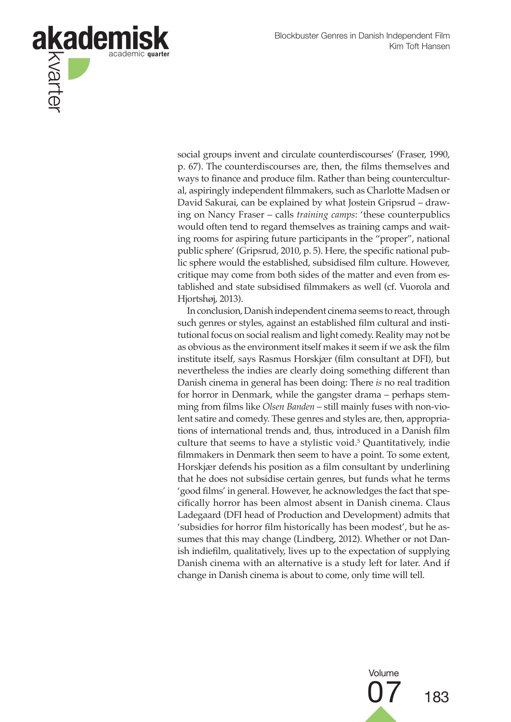

social groups invent and circulate counterdiscourses' (Fraser, 1990, p. 67). The counterdiscourses are, then, the films themselves and ways to finance and produce film. Rather than being countercultural, aspiringly independent filmmakers, such as Charlotte Madsen or David Sakurai, can be explained by what Jostein Gripsrud – drawing on Nancy Fraser – calls *training camps*: 'these counterpublics would often tend to regard themselves as training camps and waiting rooms for aspiring future participants in the "proper", national public sphere' (Gripsrud, 2010, p. 5). Here, the specific national public sphere would the established, subsidised film culture. However, critique may come from both sides of the matter and even from established and state subsidised filmmakers as well (cf. Vuorola and Hjortshøj, 2013).

In conclusion, Danish independent cinema seems to react, through such genres or styles, against an established film cultural and institutional focus on social realism and light comedy. Reality may not be as obvious as the environment itself makes it seem if we ask the film institute itself, says Rasmus Horskjær (film consultant at DFI), but nevertheless the indies are clearly doing something different than Danish cinema in general has been doing: There *is* no real tradition for horror in Denmark, while the gangster drama – perhaps stemming from films like *Olsen Banden* – still mainly fuses with non-violent satire and comedy. These genres and styles are, then, appropriations of international trends and, thus, introduced in a Danish film culture that seems to have a stylistic void.5 Quantitatively, indie filmmakers in Denmark then seem to have a point. To some extent, Horskjær defends his position as a film consultant by underlining that he does not subsidise certain genres, but funds what he terms 'good films' in general. However, he acknowledges the fact that specifically horror has been almost absent in Danish cinema. Claus Ladegaard (DFI head of Production and Development) admits that 'subsidies for horror film historically has been modest', but he assumes that this may change (Lindberg, 2012). Whether or not Danish indiefilm, qualitatively, lives up to the expectation of supplying Danish cinema with an alternative is a study left for later. And if change in Danish cinema is about to come, only time will tell.

Volume

07 <sup>183</sup>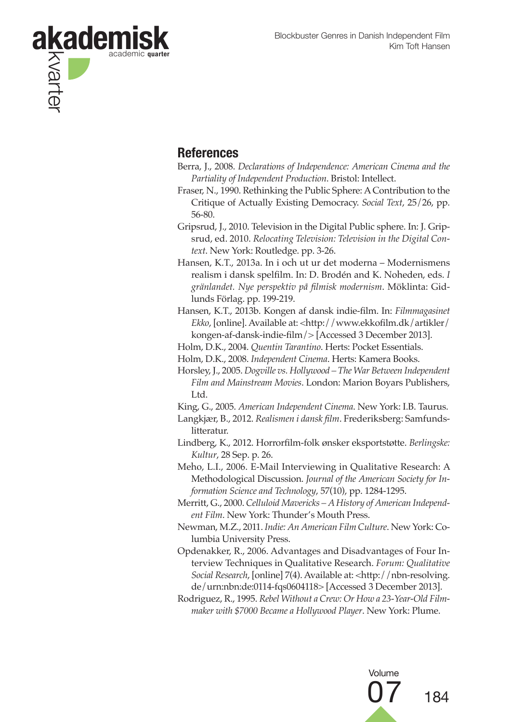

## **References**

- Berra, J., 2008. *Declarations of Independence: American Cinema and the Partiality of Independent Production*. Bristol: Intellect.
- Fraser, N., 1990. Rethinking the Public Sphere: A Contribution to the Critique of Actually Existing Democracy. *Social Text*, 25/26, pp. 56-80.
- Gripsrud, J., 2010. Television in the Digital Public sphere. In: J. Gripsrud, ed. 2010. *Relocating Television: Television in the Digital Context*. New York: Routledge. pp. 3-26.
- Hansen, K.T., 2013a. In i och ut ur det moderna Modernismens realism i dansk spelfilm. In: D. Brodén and K. Noheden, eds. *I gränlandet. Nye perspektiv på filmisk modernism*. Möklinta: Gidlunds Förlag. pp. 199-219.
- Hansen, K.T., 2013b. Kongen af dansk indie-film. In: *Filmmagasinet Ekko*, [online]. Available at: <http://www.ekkofilm.dk/artikler/ kongen-af-dansk-indie-film/> [Accessed 3 December 2013].
- Holm, D.K., 2004. *Quentin Tarantino*. Herts: Pocket Essentials.

Holm, D.K., 2008. *Independent Cinema*. Herts: Kamera Books.

- Horsley, J., 2005. *Dogville vs. Hollywood The War Between Independent Film and Mainstream Movies*. London: Marion Boyars Publishers, Ltd.
- King, G., 2005. *American Independent Cinema*. New York: I.B. Taurus.
- Langkjær, B., 2012. *Realismen i dansk film*. Frederiksberg: Samfundslitteratur.
- Lindberg, K., 2012. Horrorfilm-folk ønsker eksportstøtte. *Berlingske: Kultur*, 28 Sep. p. 26.
- Meho, L.I., 2006. E-Mail Interviewing in Qualitative Research: A Methodological Discussion. *Journal of the American Society for Information Science and Technology*, 57(10), pp. 1284-1295.
- Merritt, G., 2000. *Celluloid Mavericks A History of American Independent Film*. New York: Thunder's Mouth Press.
- Newman, M.Z., 2011. *Indie: An American Film Culture*. New York: Columbia University Press.
- Opdenakker, R., 2006. Advantages and Disadvantages of Four Interview Techniques in Qualitative Research. *Forum: Qualitative Social Research*, [online] 7(4). Available at: <http://nbn-resolving. de/urn:nbn:de:0114-fqs0604118> [Accessed 3 December 2013].
- Rodriguez, R., 1995. *Rebel Without a Crew: Or How a 23-Year-Old Filmmaker with \$7000 Became a Hollywood Player*. New York: Plume.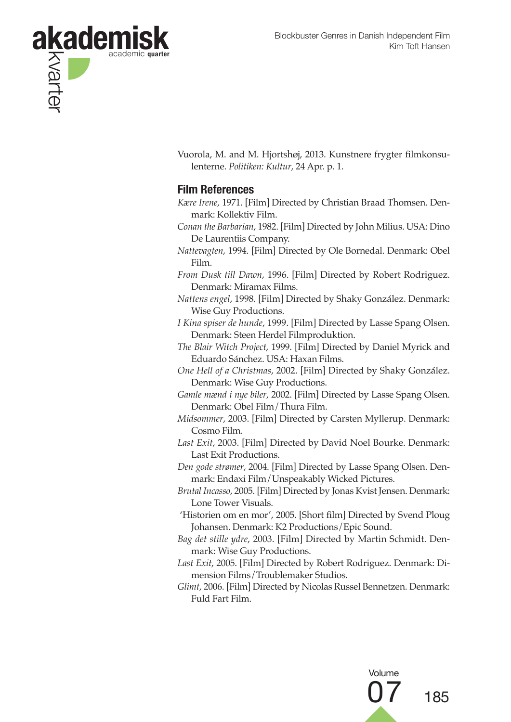

Vuorola, M. and M. Hjortshøj, 2013. Kunstnere frygter filmkonsulenterne. *Politiken: Kultur*, 24 Apr. p. 1.

### **Film References**

- *Kære Irene*, 1971. [Film] Directed by Christian Braad Thomsen. Denmark: Kollektiv Film.
- *Conan the Barbarian*, 1982. [Film] Directed by John Milius. USA: Dino De Laurentiis Company.
- *Nattevagten*, 1994. [Film] Directed by Ole Bornedal. Denmark: Obel Film.
- *From Dusk till Dawn*, 1996. [Film] Directed by Robert Rodriguez. Denmark: Miramax Films.
- *Nattens engel*, 1998. [Film] Directed by Shaky González. Denmark: Wise Guy Productions.
- *I Kina spiser de hunde*, 1999. [Film] Directed by Lasse Spang Olsen. Denmark: Steen Herdel Filmproduktion.
- *The Blair Witch Project*, 1999. [Film] Directed by Daniel Myrick and Eduardo Sánchez. USA: Haxan Films.
- *One Hell of a Christmas*, 2002. [Film] Directed by Shaky González. Denmark: Wise Guy Productions.
- *Gamle mænd i nye biler*, 2002. [Film] Directed by Lasse Spang Olsen. Denmark: Obel Film/Thura Film.
- *Midsommer*, 2003. [Film] Directed by Carsten Myllerup. Denmark: Cosmo Film.
- *Last Exit*, 2003. [Film] Directed by David Noel Bourke. Denmark: Last Exit Productions.
- *Den gode strømer*, 2004. [Film] Directed by Lasse Spang Olsen. Denmark: Endaxi Film/Unspeakably Wicked Pictures.
- *Brutal Incasso*, 2005. [Film] Directed by Jonas Kvist Jensen. Denmark: Lone Tower Visuals.
- 'Historien om en mor', 2005. [Short film] Directed by Svend Ploug Johansen. Denmark: K2 Productions/Epic Sound.
- *Bag det stille ydre*, 2003. [Film] Directed by Martin Schmidt. Denmark: Wise Guy Productions.
- *Last Exit*, 2005. [Film] Directed by Robert Rodriguez. Denmark: Dimension Films/Troublemaker Studios.
- *Glimt*, 2006. [Film] Directed by Nicolas Russel Bennetzen. Denmark: Fuld Fart Film.

Volume 185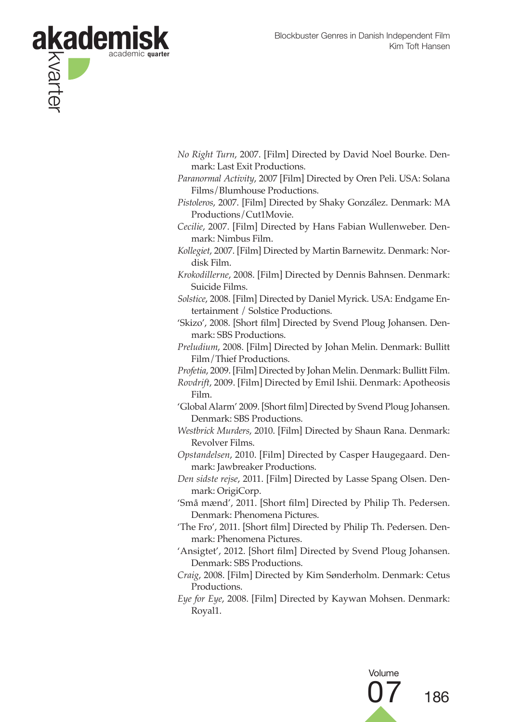

- *No Right Turn*, 2007. [Film] Directed by David Noel Bourke. Denmark: Last Exit Productions.
- *Paranormal Activity*, 2007 [Film] Directed by Oren Peli. USA: Solana Films/Blumhouse Productions.
- *Pistoleros*, 2007. [Film] Directed by Shaky González. Denmark: MA Productions/Cut1Movie.
- *Cecilie*, 2007. [Film] Directed by Hans Fabian Wullenweber. Denmark: Nimbus Film.
- *Kollegiet*, 2007. [Film] Directed by Martin Barnewitz. Denmark: Nordisk Film.
- *Krokodillerne*, 2008. [Film] Directed by Dennis Bahnsen. Denmark: Suicide Films.
- *Solstice*, 2008. [Film] Directed by Daniel Myrick. USA: Endgame Entertainment / Solstice Productions.
- 'Skizo', 2008. [Short film] Directed by Svend Ploug Johansen. Denmark: SBS Productions.
- *Preludium*, 2008. [Film] Directed by Johan Melin. Denmark: Bullitt Film/Thief Productions.
- *Profetia*, 2009. [Film] Directed by Johan Melin. Denmark: Bullitt Film.
- *Rovdrift*, 2009. [Film] Directed by Emil Ishii. Denmark: Apotheosis Film.
- 'Global Alarm' 2009. [Short film] Directed by Svend Ploug Johansen. Denmark: SBS Productions.
- *Westbrick Murders*, 2010. [Film] Directed by Shaun Rana. Denmark: Revolver Films.
- *Opstandelsen*, 2010. [Film] Directed by Casper Haugegaard. Denmark: Jawbreaker Productions.
- *Den sidste rejse*, 2011. [Film] Directed by Lasse Spang Olsen. Denmark: OrigiCorp.
- 'Små mænd', 2011. [Short film] Directed by Philip Th. Pedersen. Denmark: Phenomena Pictures.
- 'The Fro', 2011. [Short film] Directed by Philip Th. Pedersen. Denmark: Phenomena Pictures.
- 'Ansigtet', 2012. [Short film] Directed by Svend Ploug Johansen. Denmark: SBS Productions.
- *Craig*, 2008. [Film] Directed by Kim Sønderholm. Denmark: Cetus Productions.
- *Eye for Eye*, 2008. [Film] Directed by Kaywan Mohsen. Denmark: Royal1.

Volume 186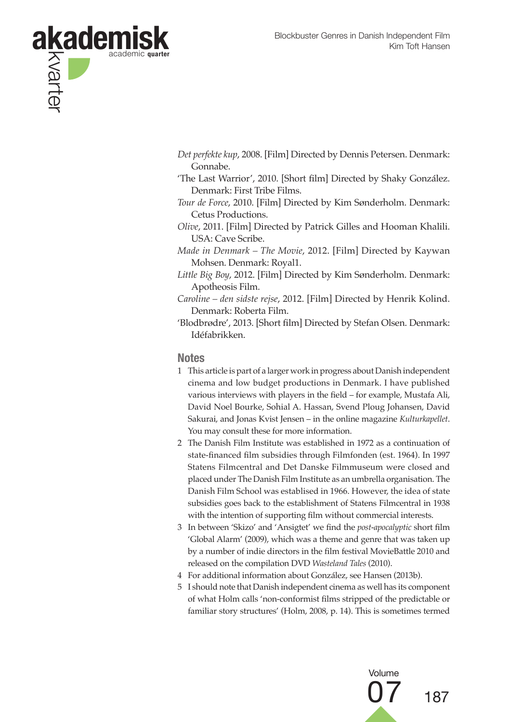

- *Det perfekte kup*, 2008. [Film] Directed by Dennis Petersen. Denmark: Gonnabe.
- 'The Last Warrior', 2010. [Short film] Directed by Shaky González. Denmark: First Tribe Films.
- *Tour de Force*, 2010. [Film] Directed by Kim Sønderholm. Denmark: Cetus Productions.
- *Olive*, 2011. [Film] Directed by Patrick Gilles and Hooman Khalili. USA: Cave Scribe.
- *Made in Denmark The Movie*, 2012. [Film] Directed by Kaywan Mohsen. Denmark: Royal1.
- *Little Big Boy*, 2012. [Film] Directed by Kim Sønderholm. Denmark: Apotheosis Film.
- *Caroline den sidste rejse*, 2012. [Film] Directed by Henrik Kolind. Denmark: Roberta Film.
- 'Blodbrødre', 2013. [Short film] Directed by Stefan Olsen. Denmark: Idéfabrikken.

#### **Notes**

- 1 This article is part of a larger work in progress about Danish independent cinema and low budget productions in Denmark. I have published various interviews with players in the field – for example, Mustafa Ali, David Noel Bourke, Sohial A. Hassan, Svend Ploug Johansen, David Sakurai, and Jonas Kvist Jensen – in the online magazine *Kulturkapellet*. You may consult these for more information.
- 2 The Danish Film Institute was established in 1972 as a continuation of state-financed film subsidies through Filmfonden (est. 1964). In 1997 Statens Filmcentral and Det Danske Filmmuseum were closed and placed under The Danish Film Institute as an umbrella organisation. The Danish Film School was establised in 1966. However, the idea of state subsidies goes back to the establishment of Statens Filmcentral in 1938 with the intention of supporting film without commercial interests.
- 3 In between 'Skizo' and 'Ansigtet' we find the *post-apocalyptic* short film 'Global Alarm' (2009), which was a theme and genre that was taken up by a number of indie directors in the film festival MovieBattle 2010 and released on the compilation DVD *Wasteland Tales* (2010).
- 4 For additional information about González, see Hansen (2013b).
- 5 I should note that Danish independent cinema as well has its component of what Holm calls 'non-conformist films stripped of the predictable or familiar story structures' (Holm, 2008, p. 14). This is sometimes termed

Volume

187